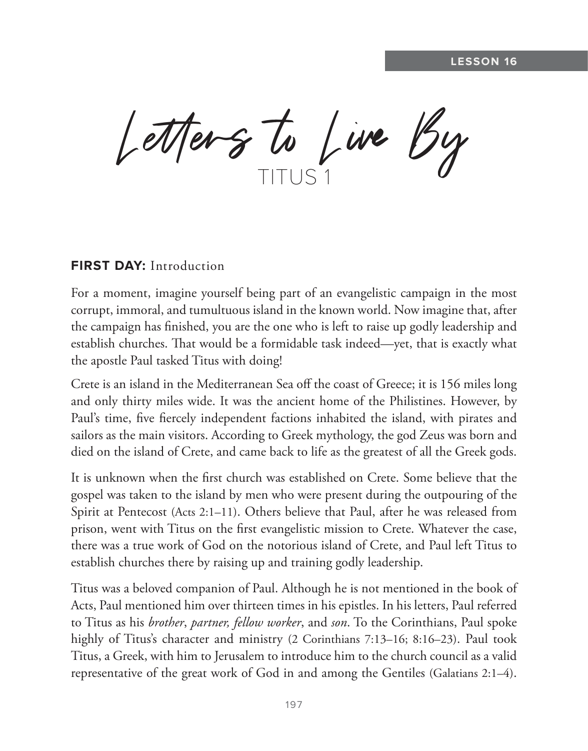$L$ etters to Live By

### **FIRST DAY:** Introduction

For a moment, imagine yourself being part of an evangelistic campaign in the most corrupt, immoral, and tumultuous island in the known world. Now imagine that, after the campaign has finished, you are the one who is left to raise up godly leadership and establish churches. That would be a formidable task indeed—yet, that is exactly what the apostle Paul tasked Titus with doing!

Crete is an island in the Mediterranean Sea off the coast of Greece; it is 156 miles long and only thirty miles wide. It was the ancient home of the Philistines. However, by Paul's time, five fiercely independent factions inhabited the island, with pirates and sailors as the main visitors. According to Greek mythology, the god Zeus was born and died on the island of Crete, and came back to life as the greatest of all the Greek gods.

It is unknown when the first church was established on Crete. Some believe that the gospel was taken to the island by men who were present during the outpouring of the Spirit at Pentecost (Acts 2:1–11). Others believe that Paul, after he was released from prison, went with Titus on the first evangelistic mission to Crete. Whatever the case, there was a true work of God on the notorious island of Crete, and Paul left Titus to establish churches there by raising up and training godly leadership.

Titus was a beloved companion of Paul. Although he is not mentioned in the book of Acts, Paul mentioned him over thirteen times in his epistles. In his letters, Paul referred to Titus as his *brother*, *partner, fellow worker*, and *son*. To the Corinthians, Paul spoke highly of Titus's character and ministry (2 Corinthians 7:13–16; 8:16–23). Paul took Titus, a Greek, with him to Jerusalem to introduce him to the church council as a valid representative of the great work of God in and among the Gentiles (Galatians 2:1–4).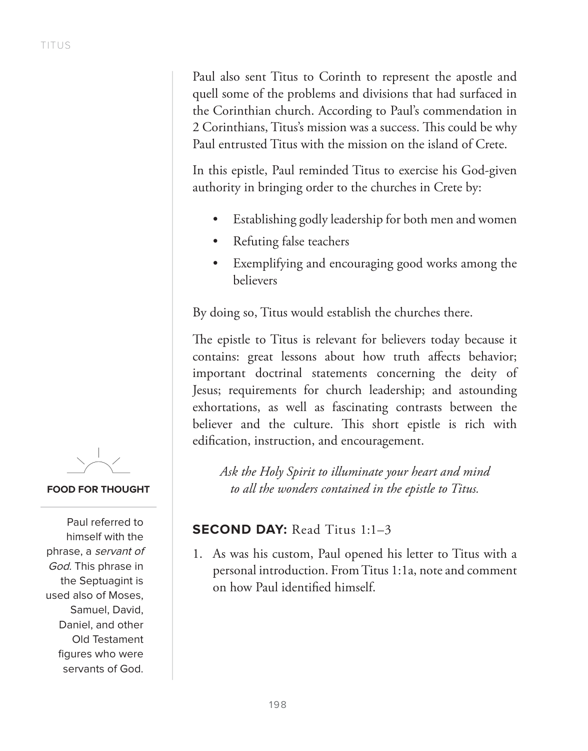Paul also sent Titus to Corinth to represent the apostle and quell some of the problems and divisions that had surfaced in the Corinthian church. According to Paul's commendation in 2 Corinthians, Titus's mission was a success. This could be why Paul entrusted Titus with the mission on the island of Crete.

In this epistle, Paul reminded Titus to exercise his God-given authority in bringing order to the churches in Crete by:

- Establishing godly leadership for both men and women
- Refuting false teachers
- Exemplifying and encouraging good works among the believers

By doing so, Titus would establish the churches there.

The epistle to Titus is relevant for believers today because it contains: great lessons about how truth affects behavior; important doctrinal statements concerning the deity of Jesus; requirements for church leadership; and astounding exhortations, as well as fascinating contrasts between the believer and the culture. This short epistle is rich with edification, instruction, and encouragement.

*Ask the Holy Spirit to illuminate your heart and mind to all the wonders contained in the epistle to Titus.*

# **SECOND DAY:** Read Titus 1:1-3

1. As was his custom, Paul opened his letter to Titus with a personal introduction. From Titus 1:1a, note and comment on how Paul identified himself.

**FOOD FOR THOUGHT**

Paul referred to himself with the phrase, a servant of God. This phrase in the Septuagint is used also of Moses, Samuel, David, Daniel, and other Old Testament figures who were servants of God.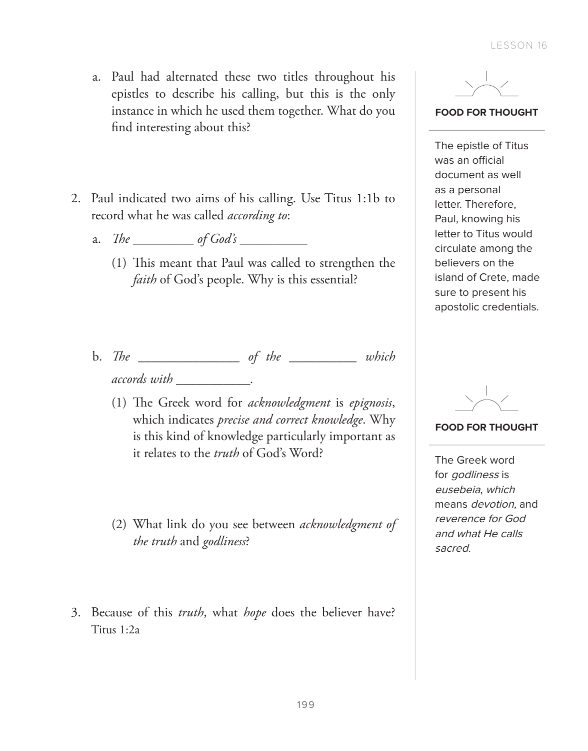- a. Paul had alternated these two titles throughout his epistles to describe his calling, but this is the only instance in which he used them together. What do you find interesting about this?
- 2. Paul indicated two aims of his calling. Use Titus 1:1b to record what he was called *according to*:
	- a. *The \_\_\_\_\_\_\_\_\_ of God's \_\_\_\_\_\_\_\_\_\_*
		- (1) This meant that Paul was called to strengthen the *faith* of God's people. Why is this essential?
	- b. *The \_\_\_\_\_\_\_\_\_\_\_\_\_\_\_ of the \_\_\_\_\_\_\_\_\_\_ which accords with \_\_\_\_\_\_\_\_\_\_\_.*
		- (1) The Greek word for *acknowledgment* is *epignosis*, which indicates *precise and correct knowledge*. Why is this kind of knowledge particularly important as it relates to the *truth* of God's Word?
		- (2) What link do you see between *acknowledgment of the truth* and *godliness*?
- 3. Because of this *truth*, what *hope* does the believer have? Titus 1:2a



**FOOD FOR THOUGHT**

The epistle of Titus was an official document as well as a personal letter. Therefore, Paul, knowing his letter to Titus would circulate among the believers on the island of Crete, made sure to present his apostolic credentials.

**FOOD FOR THOUGHT**

The Greek word for godliness is eusebeia, which means devotion, and reverence for God and what He calls sacred.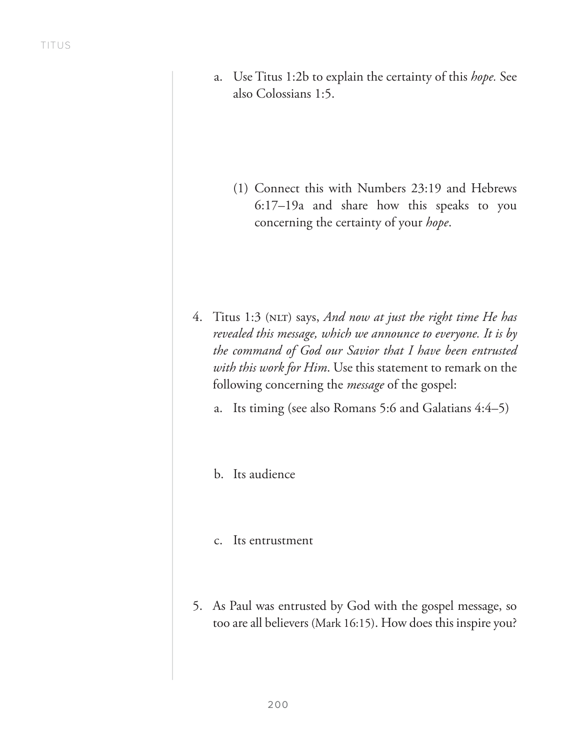a. Use Titus 1:2b to explain the certainty of this *hope.* See also Colossians 1:5.

(1) Connect this with Numbers 23:19 and Hebrews 6:17–19a and share how this speaks to you concerning the certainty of your *hope*.

- 4. Titus 1:3 (NLT) says, *And now at just the right time He has revealed this message, which we announce to everyone. It is by the command of God our Savior that I have been entrusted with this work for Him*. Use this statement to remark on the following concerning the *message* of the gospel:
	- a. Its timing (see also Romans 5:6 and Galatians 4:4–5)
	- b. Its audience
	- c. Its entrustment
- 5. As Paul was entrusted by God with the gospel message, so too are all believers (Mark 16:15). How does this inspire you?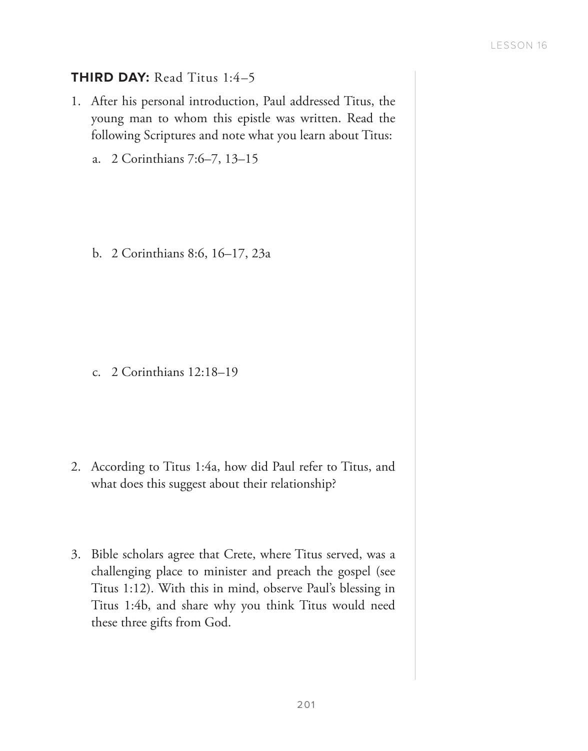### **THIRD DAY: Read Titus 1:4-5**

- 1. After his personal introduction, Paul addressed Titus, the young man to whom this epistle was written. Read the following Scriptures and note what you learn about Titus:
	- a. 2 Corinthians 7:6–7, 13–15

b. 2 Corinthians 8:6, 16–17, 23a

c. 2 Corinthians 12:18–19

- 2. According to Titus 1:4a, how did Paul refer to Titus, and what does this suggest about their relationship?
- 3. Bible scholars agree that Crete, where Titus served, was a challenging place to minister and preach the gospel (see Titus 1:12). With this in mind, observe Paul's blessing in Titus 1:4b, and share why you think Titus would need these three gifts from God.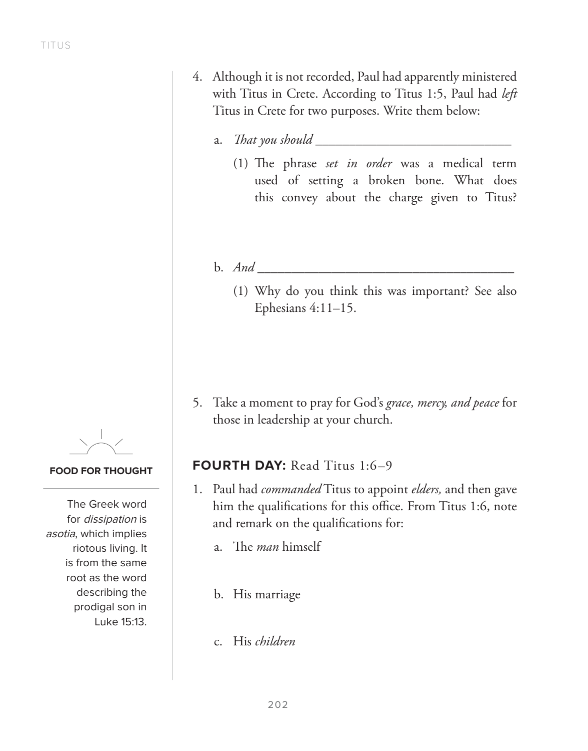- 4. Although it is not recorded, Paul had apparently ministered with Titus in Crete. According to Titus 1:5, Paul had *left* Titus in Crete for two purposes. Write them below:
	- a. *That you should* 
		- (1) The phrase *set in order* was a medical term used of setting a broken bone. What does this convey about the charge given to Titus?
	- b. *And* 
		- (1) Why do you think this was important? See also Ephesians 4:11–15.

5. Take a moment to pray for God's *grace, mercy, and peace* for those in leadership at your church.

### **FOURTH DAY: Read Titus 1:6-9**

- 1. Paul had *commanded* Titus to appoint *elders,* and then gave him the qualifications for this office. From Titus 1:6, note and remark on the qualifications for:
	- a. The *man* himself
	- b. His marriage
	- c. His *children*

#### **FOOD FOR THOUGHT**

The Greek word for dissipation is asotia, which implies riotous living. It is from the same root as the word describing the prodigal son in Luke 15:13.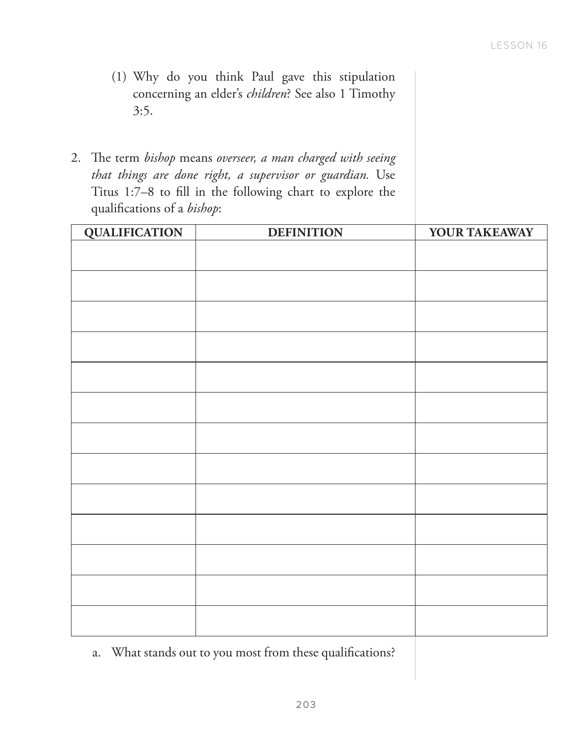- (1) Why do you think Paul gave this stipulation concerning an elder's *children*? See also 1 Timothy 3:5.
- 2. The term *bishop* means *overseer, a man charged with seeing that things are done right, a supervisor or guardian.* Use Titus 1:7–8 to fill in the following chart to explore the qualifications of a *bishop*:

| <b>QUALIFICATION</b> | <b>DEFINITION</b> | YOUR TAKEAWAY |
|----------------------|-------------------|---------------|
|                      |                   |               |
|                      |                   |               |
|                      |                   |               |
|                      |                   |               |
|                      |                   |               |
|                      |                   |               |
|                      |                   |               |
|                      |                   |               |
|                      |                   |               |
|                      |                   |               |
|                      |                   |               |
|                      |                   |               |
|                      |                   |               |
|                      |                   |               |
|                      |                   |               |

a. What stands out to you most from these qualifications?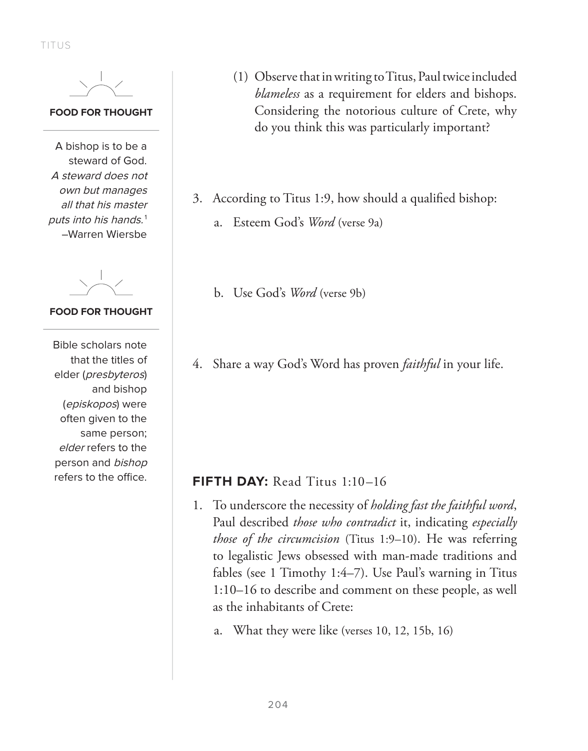TITUS

#### **FOOD FOR THOUGHT**

A bishop is to be a steward of God. A steward does not own but manages all that his master puts into his hands.<sup>1</sup> –Warren Wiersbe

#### **FOOD FOR THOUGHT**

Bible scholars note that the titles of elder (presbyteros) and bishop (episkopos) were often given to the same person; elder refers to the person and bishop refers to the office.

- (1) Observe that in writing to Titus, Paul twice included *blameless* as a requirement for elders and bishops. Considering the notorious culture of Crete, why do you think this was particularly important?
- 3. According to Titus 1:9, how should a qualified bishop:
	- a. Esteem God's *Word* (verse 9a)
	- b. Use God's *Word* (verse 9b)
- 4. Share a way God's Word has proven *faithful* in your life.

### **FIFTH DAY:** Read Titus 1:10–16

- 1. To underscore the necessity of *holding fast the faithful word*, Paul described *those who contradict* it, indicating *especially those of the circumcision* (Titus 1:9–10). He was referring to legalistic Jews obsessed with man-made traditions and fables (see 1 Timothy 1:4–7). Use Paul's warning in Titus 1:10–16 to describe and comment on these people, as well as the inhabitants of Crete:
	- a. What they were like (verses 10, 12, 15b, 16)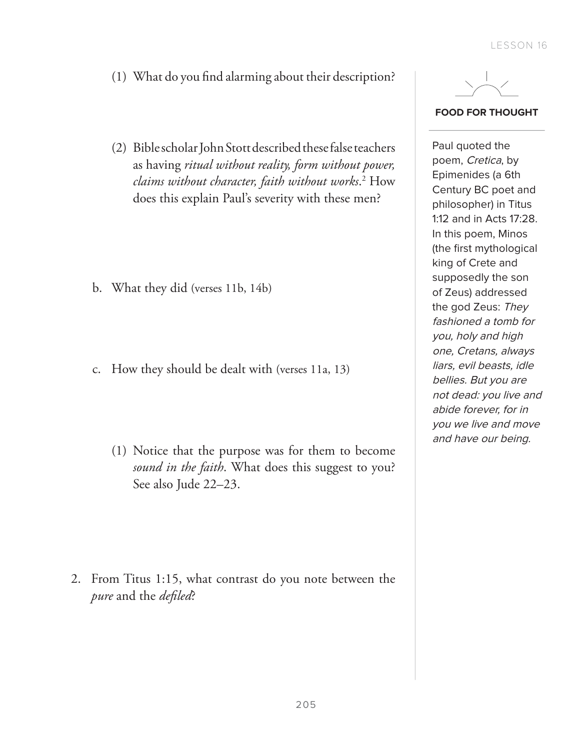- (1) What do you find alarming about their description?
- (2) Bible scholar John Stott described these false teachers as having *ritual without reality, form without power, claims without character, faith without works*. 2 How does this explain Paul's severity with these men?

- b. What they did (verses 11b, 14b)
- c. How they should be dealt with (verses 11a, 13)
	- (1) Notice that the purpose was for them to become *sound in the faith*. What does this suggest to you? See also Jude 22–23.

2. From Titus 1:15, what contrast do you note between the *pure* and the *defiled*?



**FOOD FOR THOUGHT**

Paul quoted the poem, Cretica, by Epimenides (a 6th Century BC poet and philosopher) in Titus 1:12 and in Acts 17:28. In this poem, Minos (the first mythological king of Crete and supposedly the son of Zeus) addressed the god Zeus: They fashioned a tomb for you, holy and high one, Cretans, always liars, evil beasts, idle bellies. But you are not dead: you live and abide forever, for in you we live and move and have our being.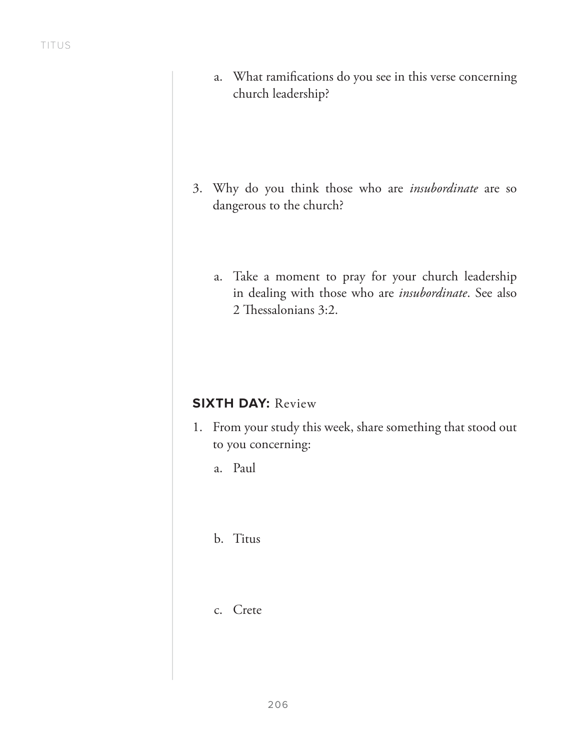a. What ramifications do you see in this verse concerning church leadership?

- 3. Why do you think those who are *insubordinate* are so dangerous to the church?
	- a. Take a moment to pray for your church leadership in dealing with those who are *insubordinate*. See also 2 Thessalonians 3:2.

## **SIXTH DAY: Review**

- 1. From your study this week, share something that stood out to you concerning:
	- a. Paul
	- b. Titus
	- c. Crete